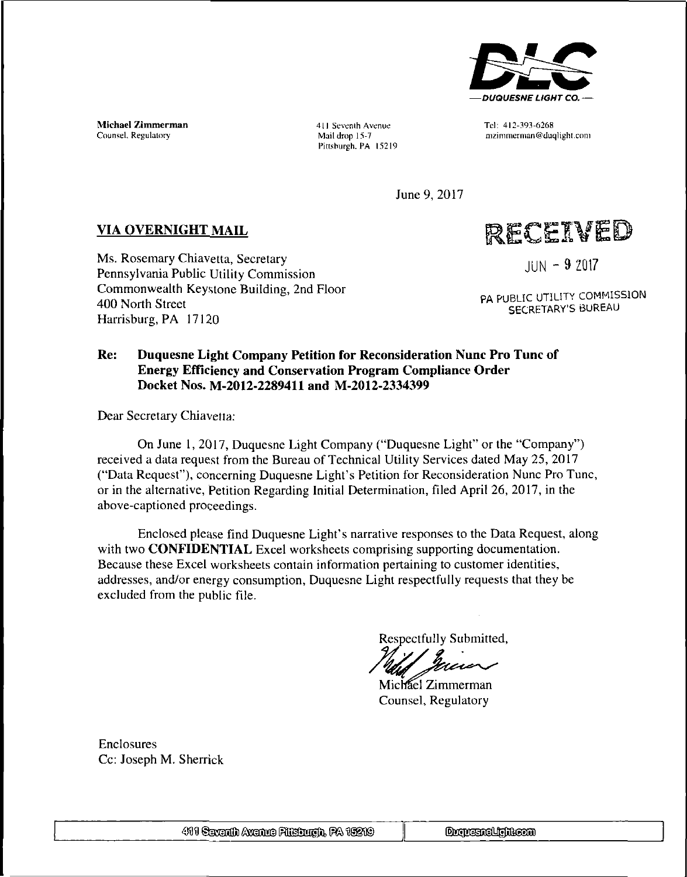

Michael Zimmerman Counsel. Regulatory

411 Seventh Avenue Tel: 412-393-6268 Pittsburgh. PA 15219

Mail drop 15-7 nizimmerman@duqlight.com

June 9, 2017

### **VIA OVERNIGHT MAIL**

Ms. Rosemary Chiavetta, Secretary Pennsylvania Public Utility Commission Commonwealth Keystone Building, 2nd Floor 400 North Street Harrisburg, PA 17120

RECEIVED

**JUN - <sup>9</sup> ZQ17**

PA PUBLIC UTILITY COMMISSION SECRETARY'S BUREAU

### **Re: Duquesne Light Company Petition for Reconsideration Nunc Pro Tunc of Energy Efficiency and Conservation Program Compliance Order Docket Nos. M-2012-2289411 and M-2012-2334399**

Dear Secretary Chiavetta:

On June 1, 2017, Duquesne Light Company ("Duquesne Light" or the "Company") received a data request from the Bureau of Technical Utility Services dated May 25, 2017 ("Data Request"), concerning Duquesne Light's Petition for Reconsideration Nunc Pro Tunc, or in the alternative, Petition Regarding Initial Determination, filed April 26, 2017, in the above-captioned proceedings.

Enclosed please find Duquesne Light's narrative responses to the Data Request, along with two **CONFIDENTIAL** Excel worksheets comprising supporting documentation. Because these Excel worksheets contain information pertaining to customer identities, addresses, and/or energy consumption, Duquesne Light respectfully requests that they be excluded from the public file.

Respectfully Submitted,

Michael Zimmerman Counsel, Regulatory

Enclosures Cc: Joseph M. Sherrick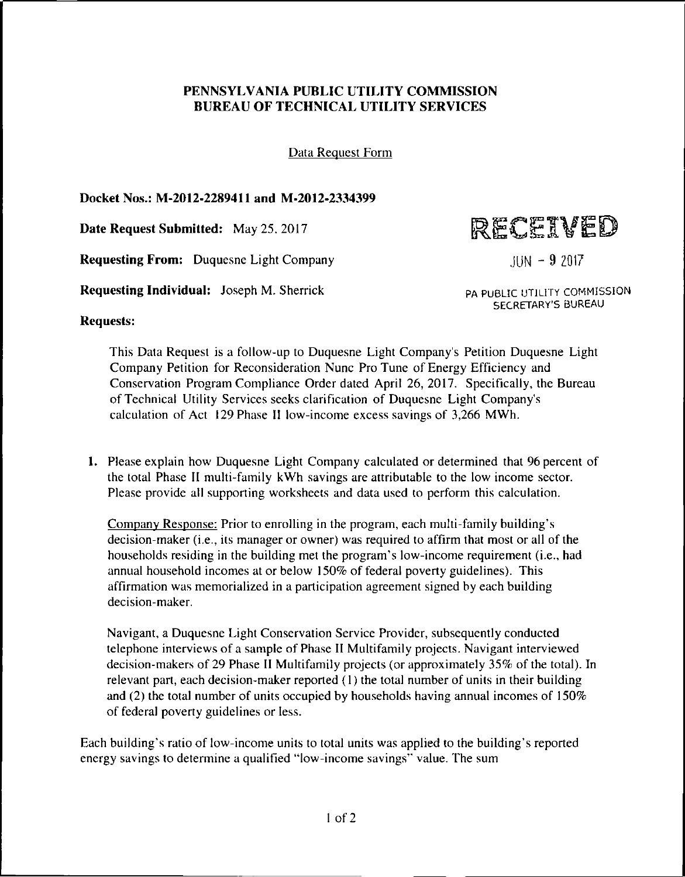### **PENNSYLVANIA PUBLIC UTILITY COMMISSION BUREAU OF TECHNICAL UTILITY SERVICES**

Data Request Form

**Docket Nos.: M-2012-2289411 and M-2012-2334399**

**Date Request Submitted:** May 25. 2017

**Requesting From:** Duquesne Light Company

**Requesting Individual:** Joseph M. Shernck



**JUN - <sup>9</sup> Z017**

PA PUBLIC UTILITY COMMISSION SECRETARY'S BUREAU

**Requests:**

This Data Request is a follow-up to Duquesne Light Company's Petition Duquesne Light Company Petition for Reconsideration Nunc Pro Tune of Energy Efficiency and Conservation Program Compliance Order dated April 26, 2017. Specifically, the Bureau of Technical Utility Services seeks clarification of Duquesne Light Company's calculation of Act 129 Phase II low-income excess savings of 3,266 MWh.

1. Please explain how Duquesne Light Company calculated or determined that 96 percent of the total Phase II multi-family kWh savings are attributable to the low income sector. Please provide all supporting worksheets and data used to perform this calculation.

Company Response: Prior to enrolling in the program, each multi-family building's decision-maker (i.e., its manager or owner) was required to affirm that most or all of the households residing in the building met the program's low-income requirement (i.e., had annual household incomes at or below 150% of federal poverty guidelines). This affirmation was memorialized in a participation agreement signed by each building decision-maker.

Navigant, a Duquesne Light Conservation Service Provider, subsequently conducted telephone interviews of a sample of Phase II Multifamily projects. Navigant interviewed decision-makers of 29 Phase II Multifamily projects (or approximately 35% of the total). In relevant part, each decision-maker reported (1) the total number of units in their building and (2) the total number of units occupied by households having annual incomes of 150% of federal poverty guidelines or less.

Each building's ratio of low-income units to total units was applied to the building's reported energy savings to determine a qualified "low-income savings" value. The sum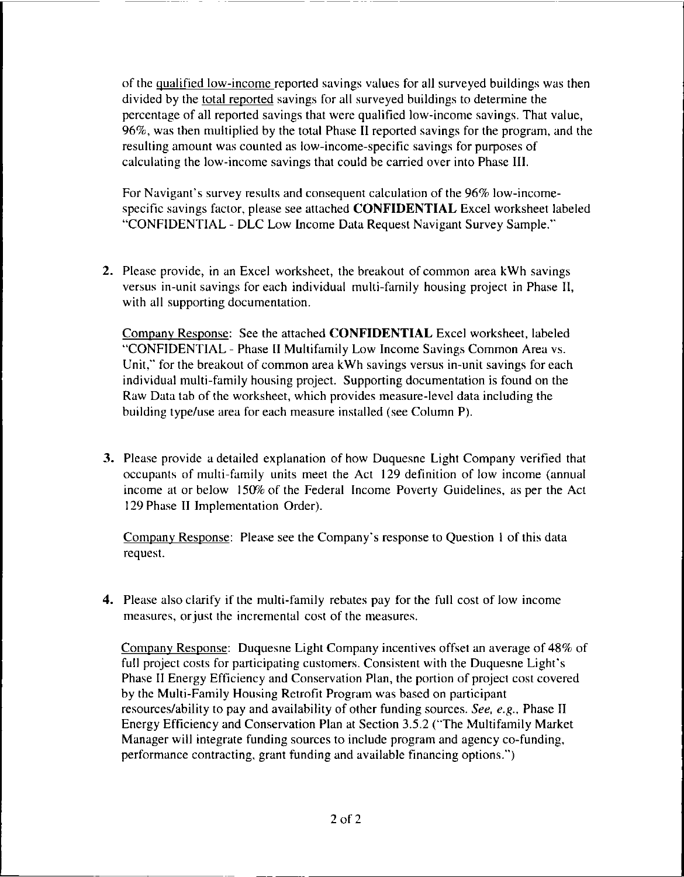of the qualified low-income reported savings values for all surveyed buildings was then divided by the total reported savings for all surveyed buildings to determine the percentage of all reported savings that were qualified low-income savings. That value, 96%, was then multiplied by the total Phase II reported savings for the program, and the resulting amount was counted as low-income-specific savings for purposes of calculating the low-income savings that could be carried over into Phase III.

For Navigant's survey results and consequent calculation of the 96% low-incomespecific savings factor, please see attached **CONFIDENTIAL** Excel worksheet labeled "CONFIDENTIAL - DLC Low Income Data Request Navigant Survey Sample."

**2.** Please provide, in an Excel worksheet, the breakout of common area kWh savings versus in-unit savings for each individual multi-family housing project in Phase II, with all supporting documentation.

Company Response: See the attached **CONFIDENTIAL** Excel worksheet, labeled "CONFIDENTIAL - Phase II Multifamily Low Income Savings Common Area vs. Unit," for the breakout of common area kWh savings versus in-unit savings for each individual multi-family housing project. Supporting documentation is found on the Raw Data tab of the worksheet, which provides measure-level data including the building type/use area for each measure installed (see Column P).

**3.** Please provide a detailed explanation of how Duquesne Light Company verified that occupants of multi-family units meet the Act 129 definition of low income (annual income at or below 150% of the Federal Income Poverty Guidelines, as per the Act 129 Phase II Implementation Order).

Company Response: Please see the Company's response to Question <sup>1</sup> of this data request.

**4.** Please also clarify if the multi-family rebates pay for the full cost of low income measures, or just the incremental cost of the measures.

Company Response: Duquesne Light Company incentives offset an average of 48% of full project costs for participating customers. Consistent with the Duquesne Light's Phase II Energy Efficiency and Conservation Plan, the portion of project cost covered by the Multi-Family Housing Retrofit Program was based on participant resources/ability to pay and availability of other funding sources. *See, e.g..* Phase II Energy Efficiency and Conservation Plan at Section 3.5.2 ("The Multifamily Market Manager will integrate funding sources to include program and agency co-funding, performance contracting, grant funding and available financing options.")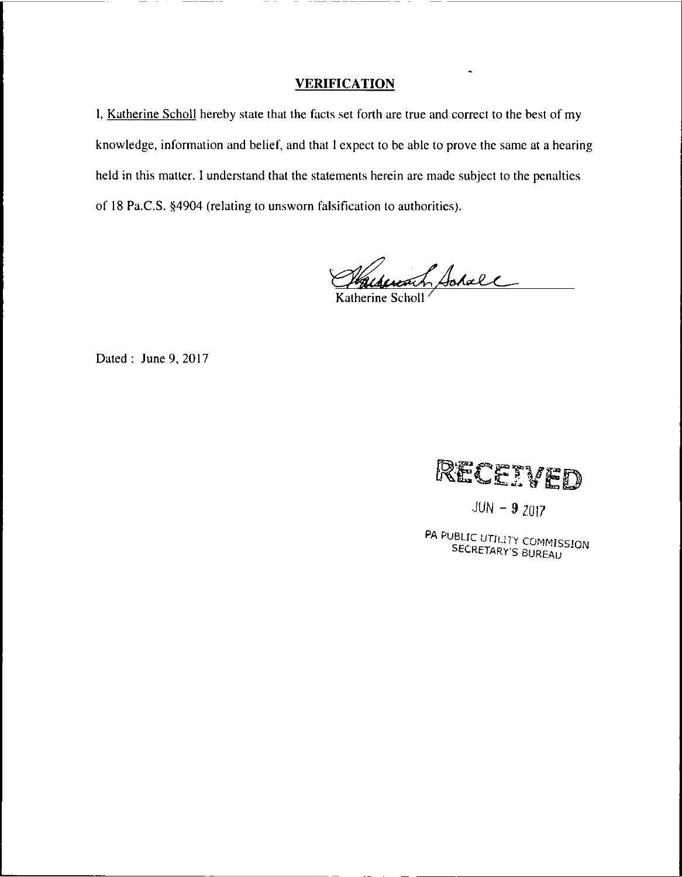### **VERIFICATION**

1, Katherine Scholl hereby state that the facts set forth are true and correct to the best of my knowledge, information and belief, and that I expect to be able to prove the same at a hearing held in this matter. I understand that the statements herein are made subject to the penalties of 18 Pa.C.S. §4904 (relating to unsworn falsification to authorities).

*XdLc,* Katherine Scholl **/**

Dated : June 9, 2017



 $JUN - 9 2017$ 

PA PUBLIC UTILITY COMMISSION SELLE UTILITY COMMIS.<br>SECRETARY'S BUREAU